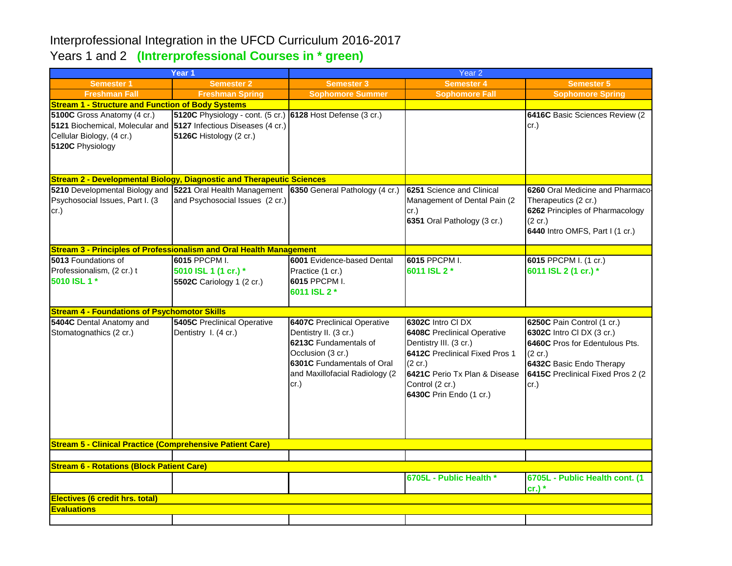## Interprofessional Integration in the UFCD Curriculum 2016-2017 Years 1 and 2 **(Intrerprofessional Courses in \* green)**

| Year <sub>1</sub>                                                                                                                                |                                                                                       | Year <sub>2</sub>                                                                                                                                                                 |                                                                                                                                                                                                               |                                                                                                                                                                                          |  |  |  |  |
|--------------------------------------------------------------------------------------------------------------------------------------------------|---------------------------------------------------------------------------------------|-----------------------------------------------------------------------------------------------------------------------------------------------------------------------------------|---------------------------------------------------------------------------------------------------------------------------------------------------------------------------------------------------------------|------------------------------------------------------------------------------------------------------------------------------------------------------------------------------------------|--|--|--|--|
| <b>Semester 1</b>                                                                                                                                | <b>Semester 2</b>                                                                     | <b>Semester 3</b>                                                                                                                                                                 | <b>Semester 4</b>                                                                                                                                                                                             | <b>Semester 5</b>                                                                                                                                                                        |  |  |  |  |
| <b>Freshman Fall</b>                                                                                                                             | <b>Freshman Spring</b>                                                                | <b>Sophomore Summer</b>                                                                                                                                                           | <b>Sophomore Fall</b>                                                                                                                                                                                         | <b>Sophomore Spring</b>                                                                                                                                                                  |  |  |  |  |
| <b>Stream 1 - Structure and Function of Body Systems</b>                                                                                         |                                                                                       |                                                                                                                                                                                   |                                                                                                                                                                                                               |                                                                                                                                                                                          |  |  |  |  |
| 5100C Gross Anatomy (4 cr.)<br>5121 Biochemical, Molecular and 5127 Infectious Diseases (4 cr.)<br>Cellular Biology, (4 cr.)<br>5120C Physiology | 5120C Physiology - cont. (5 cr.) 6128 Host Defense (3 cr.)<br>5126C Histology (2 cr.) |                                                                                                                                                                                   |                                                                                                                                                                                                               | 6416C Basic Sciences Review (2)<br>cr.)                                                                                                                                                  |  |  |  |  |
| <b>Stream 2 - Developmental Biology, Diagnostic and Therapeutic Sciences</b>                                                                     |                                                                                       |                                                                                                                                                                                   |                                                                                                                                                                                                               |                                                                                                                                                                                          |  |  |  |  |
| 5210 Developmental Biology and 5221 Oral Health Management 6350 General Pathology (4 cr.)<br>Psychosocial Issues, Part I. (3<br>cr.)             | and Psychosocial Issues (2 cr.)                                                       |                                                                                                                                                                                   | 6251 Science and Clinical<br>Management of Dental Pain (2<br>cr.)<br>6351 Oral Pathology (3 cr.)                                                                                                              | 6260 Oral Medicine and Pharmaco-<br>Therapeutics (2 cr.)<br>6262 Principles of Pharmacology<br>$(2 \text{ cr.})$<br>6440 Intro OMFS, Part I (1 cr.)                                      |  |  |  |  |
| <b>Stream 3 - Principles of Professionalism and Oral Health Management</b>                                                                       |                                                                                       |                                                                                                                                                                                   |                                                                                                                                                                                                               |                                                                                                                                                                                          |  |  |  |  |
| 5013 Foundations of<br>Professionalism, (2 cr.) t<br>5010 ISL 1 *                                                                                | 6015 PPCPM I.<br>5010 ISL 1 (1 cr.) *<br>5502C Cariology 1 (2 cr.)                    | 6001 Evidence-based Dental<br>Practice (1 cr.)<br>6015 PPCPM I.<br>6011 ISL 2 *                                                                                                   | 6015 PPCPM I.<br>6011 ISL 2 *                                                                                                                                                                                 | 6015 PPCPM I. (1 cr.)<br>6011 ISL 2 (1 cr.) *                                                                                                                                            |  |  |  |  |
| <b>Stream 4 - Foundations of Psychomotor Skills</b>                                                                                              |                                                                                       |                                                                                                                                                                                   |                                                                                                                                                                                                               |                                                                                                                                                                                          |  |  |  |  |
| 5404C Dental Anatomy and<br>Stomatognathics (2 cr.)                                                                                              | <b>5405C</b> Preclinical Operative<br>Dentistry I. (4 cr.)                            | <b>6407C</b> Preclinical Operative<br>Dentistry II. (3 cr.)<br>6213C Fundamentals of<br>Occlusion (3 cr.)<br>6301C Fundamentals of Oral<br>and Maxillofacial Radiology (2<br>cr.) | 6302C Intro CI DX<br><b>6408C</b> Preclinical Operative<br>Dentistry III. (3 cr.)<br>6412C Preclinical Fixed Pros 1<br>(2 cr.)<br>6421C Perio Tx Plan & Disease<br>Control (2 cr.)<br>6430C Prin Endo (1 cr.) | 6250C Pain Control (1 cr.)<br>6302C Intro CI DX (3 cr.)<br>6460C Pros for Edentulous Pts.<br>$(2 \text{ cr.})$<br>6432C Basic Endo Therapy<br>6415C Preclinical Fixed Pros 2 (2)<br> cr. |  |  |  |  |
| <b>Stream 5 - Clinical Practice (Comprehensive Patient Care)</b>                                                                                 |                                                                                       |                                                                                                                                                                                   |                                                                                                                                                                                                               |                                                                                                                                                                                          |  |  |  |  |
|                                                                                                                                                  |                                                                                       |                                                                                                                                                                                   |                                                                                                                                                                                                               |                                                                                                                                                                                          |  |  |  |  |
| <b>Stream 6 - Rotations (Block Patient Care)</b>                                                                                                 |                                                                                       |                                                                                                                                                                                   |                                                                                                                                                                                                               |                                                                                                                                                                                          |  |  |  |  |
|                                                                                                                                                  |                                                                                       |                                                                                                                                                                                   | 6705L - Public Health *                                                                                                                                                                                       | 6705L - Public Health cont. (1<br>$cr.)$ *                                                                                                                                               |  |  |  |  |
| Electives (6 credit hrs. total)                                                                                                                  |                                                                                       |                                                                                                                                                                                   |                                                                                                                                                                                                               |                                                                                                                                                                                          |  |  |  |  |
| <b>Evaluations</b>                                                                                                                               |                                                                                       |                                                                                                                                                                                   |                                                                                                                                                                                                               |                                                                                                                                                                                          |  |  |  |  |
|                                                                                                                                                  |                                                                                       |                                                                                                                                                                                   |                                                                                                                                                                                                               |                                                                                                                                                                                          |  |  |  |  |